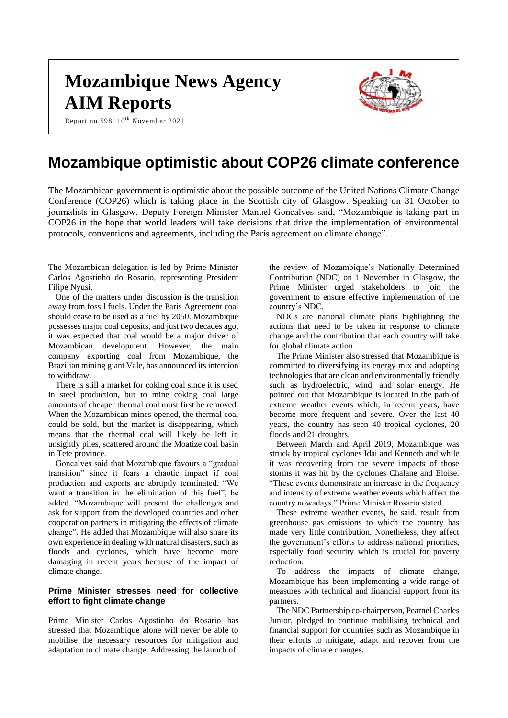# **Mozambique News Agency AIM Reports**



Report no.598, 10<sup>th</sup> November 2021

# **Mozambique optimistic about COP26 climate conference**

The Mozambican government is optimistic about the possible outcome of the United Nations Climate Change Conference (COP26) which is taking place in the Scottish city of Glasgow. Speaking on 31 October to journalists in Glasgow, Deputy Foreign Minister Manuel Goncalves said, "Mozambique is taking part in COP26 in the hope that world leaders will take decisions that drive the implementation of environmental protocols, conventions and agreements, including the Paris agreement on climate change".

The Mozambican delegation is led by Prime Minister Carlos Agostinho do Rosario, representing President Filipe Nyusi.

One of the matters under discussion is the transition away from fossil fuels. Under the Paris Agreement coal should cease to be used as a fuel by 2050. Mozambique possesses major coal deposits, and just two decades ago, it was expected that coal would be a major driver of Mozambican development. However, the main company exporting coal from Mozambique, the Brazilian mining giant Vale, has announced its intention to withdraw.

There is still a market for coking coal since it is used in steel production, but to mine coking coal large amounts of cheaper thermal coal must first be removed. When the Mozambican mines opened, the thermal coal could be sold, but the market is disappearing, which means that the thermal coal will likely be left in unsightly piles, scattered around the Moatize coal basin in Tete province.

Goncalves said that Mozambique favours a "gradual transition" since it fears a chaotic impact if coal production and exports are abruptly terminated. "We want a transition in the elimination of this fuel", he added. "Mozambique will present the challenges and ask for support from the developed countries and other cooperation partners in mitigating the effects of climate change". He added that Mozambique will also share its own experience in dealing with natural disasters, such as floods and cyclones, which have become more damaging in recent years because of the impact of climate change.

#### **Prime Minister stresses need for collective effort to fight climate change**

Prime Minister Carlos Agostinho do Rosario has stressed that Mozambique alone will never be able to mobilise the necessary resources for mitigation and adaptation to climate change. Addressing the launch of

the review of Mozambique's Nationally Determined Contribution (NDC) on 1 November in Glasgow, the Prime Minister urged stakeholders to join the government to ensure effective implementation of the country's NDC.

NDCs are national climate plans highlighting the actions that need to be taken in response to climate change and the contribution that each country will take for global climate action.

The Prime Minister also stressed that Mozambique is committed to diversifying its energy mix and adopting technologies that are clean and environmentally friendly such as hydroelectric, wind, and solar energy. He pointed out that Mozambique is located in the path of extreme weather events which, in recent years, have become more frequent and severe. Over the last 40 years, the country has seen 40 tropical cyclones, 20 floods and 21 droughts.

Between March and April 2019, Mozambique was struck by tropical cyclones Idai and Kenneth and while it was recovering from the severe impacts of those storms it was hit by the cyclones Chalane and Eloise. "These events demonstrate an increase in the frequency and intensity of extreme weather events which affect the country nowadays," Prime Minister Rosario stated.

These extreme weather events, he said, result from greenhouse gas emissions to which the country has made very little contribution. Nonetheless, they affect the government's efforts to address national priorities, especially food security which is crucial for poverty reduction.

To address the impacts of climate change, Mozambique has been implementing a wide range of measures with technical and financial support from its partners.

The NDC Partnership co-chairperson, Pearnel Charles Junior, pledged to continue mobilising technical and financial support for countries such as Mozambique in their efforts to mitigate, adapt and recover from the impacts of climate changes.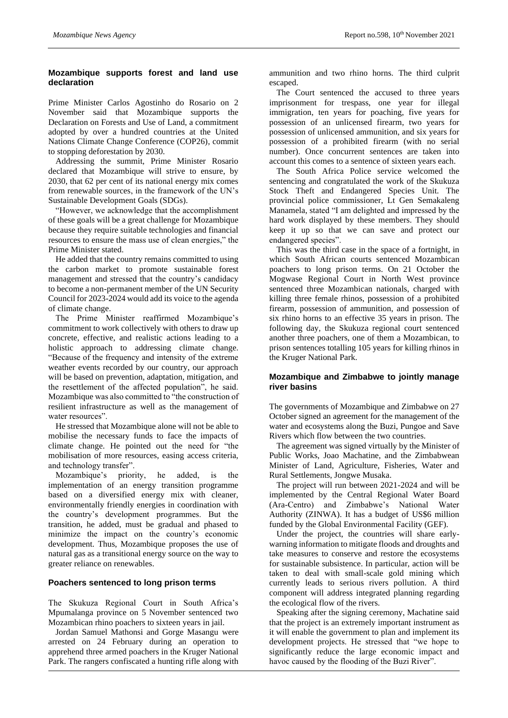# **Mozambique supports forest and land use declaration**

Prime Minister Carlos Agostinho do Rosario on 2 November said that Mozambique supports the Declaration on Forests and Use of Land, a commitment adopted by over a hundred countries at the United Nations Climate Change Conference (COP26), commit to stopping deforestation by 2030.

Addressing the summit, Prime Minister Rosario declared that Mozambique will strive to ensure, by 2030, that 62 per cent of its national energy mix comes from renewable sources, in the framework of the UN's Sustainable Development Goals (SDGs).

"However, we acknowledge that the accomplishment of these goals will be a great challenge for Mozambique because they require suitable technologies and financial resources to ensure the mass use of clean energies," the Prime Minister stated.

He added that the country remains committed to using the carbon market to promote sustainable forest management and stressed that the country's candidacy to become a non-permanent member of the UN Security Council for 2023-2024 would add its voice to the agenda of climate change.

The Prime Minister reaffirmed Mozambique's commitment to work collectively with others to draw up concrete, effective, and realistic actions leading to a holistic approach to addressing climate change. "Because of the frequency and intensity of the extreme weather events recorded by our country, our approach will be based on prevention, adaptation, mitigation, and the resettlement of the affected population", he said. Mozambique was also committed to "the construction of resilient infrastructure as well as the management of water resources".

He stressed that Mozambique alone will not be able to mobilise the necessary funds to face the impacts of climate change. He pointed out the need for "the mobilisation of more resources, easing access criteria, and technology transfer".

Mozambique's priority, he added, is the implementation of an energy transition programme based on a diversified energy mix with cleaner, environmentally friendly energies in coordination with the country's development programmes. But the transition, he added, must be gradual and phased to minimize the impact on the country's economic development. Thus, Mozambique proposes the use of natural gas as a transitional energy source on the way to greater reliance on renewables.

# **Poachers sentenced to long prison terms**

The Skukuza Regional Court in South Africa's Mpumalanga province on 5 November sentenced two Mozambican rhino poachers to sixteen years in jail.

Jordan Samuel Mathonsi and Gorge Masangu were arrested on 24 February during an operation to apprehend three armed poachers in the Kruger National Park. The rangers confiscated a hunting rifle along with

ammunition and two rhino horns. The third culprit escaped.

The Court sentenced the accused to three years imprisonment for trespass, one year for illegal immigration, ten years for poaching, five years for possession of an unlicensed firearm, two years for possession of unlicensed ammunition, and six years for possession of a prohibited firearm (with no serial number). Once concurrent sentences are taken into account this comes to a sentence of sixteen years each.

The South Africa Police service welcomed the sentencing and congratulated the work of the Skukuza Stock Theft and Endangered Species Unit. The provincial police commissioner, Lt Gen Semakaleng Manamela, stated "I am delighted and impressed by the hard work displayed by these members. They should keep it up so that we can save and protect our endangered species".

This was the third case in the space of a fortnight, in which South African courts sentenced Mozambican poachers to long prison terms. On 21 October the Mogwase Regional Court in North West province sentenced three Mozambican nationals, charged with killing three female rhinos, possession of a prohibited firearm, possession of ammunition, and possession of six rhino horns to an effective 35 years in prison. The following day, the Skukuza regional court sentenced another three poachers, one of them a Mozambican, to prison sentences totalling 105 years for killing rhinos in the Kruger National Park.

# **Mozambique and Zimbabwe to jointly manage river basins**

The governments of Mozambique and Zimbabwe on 27 October signed an agreement for the management of the water and ecosystems along the Buzi, Pungoe and Save Rivers which flow between the two countries.

The agreement was signed virtually by the Minister of Public Works, Joao Machatine, and the Zimbabwean Minister of Land, Agriculture, Fisheries, Water and Rural Settlements, Jongwe Musaka.

The project will run between 2021-2024 and will be implemented by the Central Regional Water Board (Ara-Centro) and Zimbabwe's National Water Authority (ZINWA). It has a budget of US\$6 million funded by the Global Environmental Facility (GEF).

Under the project, the countries will share earlywarning information to mitigate floods and droughts and take measures to conserve and restore the ecosystems for sustainable subsistence. In particular, action will be taken to deal with small-scale gold mining which currently leads to serious rivers pollution. A third component will address integrated planning regarding the ecological flow of the rivers.

Speaking after the signing ceremony, Machatine said that the project is an extremely important instrument as it will enable the government to plan and implement its development projects. He stressed that "we hope to significantly reduce the large economic impact and havoc caused by the flooding of the Buzi River".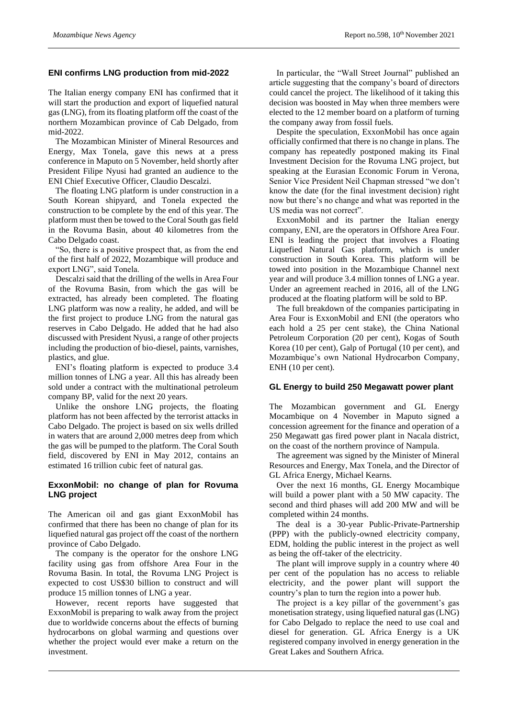#### **ENI confirms LNG production from mid-2022**

The Italian energy company ENI has confirmed that it will start the production and export of liquefied natural gas (LNG), from its floating platform off the coast of the northern Mozambican province of Cab Delgado, from mid-2022.

The Mozambican Minister of Mineral Resources and Energy, Max Tonela, gave this news at a press conference in Maputo on 5 November, held shortly after President Filipe Nyusi had granted an audience to the ENI Chief Executive Officer, Claudio Descalzi.

The floating LNG platform is under construction in a South Korean shipyard, and Tonela expected the construction to be complete by the end of this year. The platform must then be towed to the Coral South gas field in the Rovuma Basin, about 40 kilometres from the Cabo Delgado coast.

"So, there is a positive prospect that, as from the end of the first half of 2022, Mozambique will produce and export LNG", said Tonela.

Descalzi said that the drilling of the wells in Area Four of the Rovuma Basin, from which the gas will be extracted, has already been completed. The floating LNG platform was now a reality, he added, and will be the first project to produce LNG from the natural gas reserves in Cabo Delgado. He added that he had also discussed with President Nyusi, a range of other projects including the production of bio-diesel, paints, varnishes, plastics, and glue.

ENI's floating platform is expected to produce 3.4 million tonnes of LNG a year. All this has already been sold under a contract with the multinational petroleum company BP, valid for the next 20 years.

Unlike the onshore LNG projects, the floating platform has not been affected by the terrorist attacks in Cabo Delgado. The project is based on six wells drilled in waters that are around 2,000 metres deep from which the gas will be pumped to the platform. The Coral South field, discovered by ENI in May 2012, contains an estimated 16 trillion cubic feet of natural gas.

#### **ExxonMobil: no change of plan for Rovuma LNG project**

The American oil and gas giant ExxonMobil has confirmed that there has been no change of plan for its liquefied natural gas project off the coast of the northern province of Cabo Delgado.

The company is the operator for the onshore LNG facility using gas from offshore Area Four in the Rovuma Basin. In total, the Rovuma LNG Project is expected to cost US\$30 billion to construct and will produce 15 million tonnes of LNG a year.

However, recent reports have suggested that ExxonMobil is preparing to walk away from the project due to worldwide concerns about the effects of burning hydrocarbons on global warming and questions over whether the project would ever make a return on the investment.

In particular, the "Wall Street Journal" published an article suggesting that the company's board of directors could cancel the project. The likelihood of it taking this decision was boosted in May when three members were elected to the 12 member board on a platform of turning the company away from fossil fuels.

Despite the speculation, ExxonMobil has once again officially confirmed that there is no change in plans. The company has repeatedly postponed making its Final Investment Decision for the Rovuma LNG project, but speaking at the Eurasian Economic Forum in Verona, Senior Vice President Neil Chapman stressed "we don't know the date (for the final investment decision) right now but there's no change and what was reported in the US media was not correct".

ExxonMobil and its partner the Italian energy company, ENI, are the operators in Offshore Area Four. ENI is leading the project that involves a Floating Liquefied Natural Gas platform, which is under construction in South Korea. This platform will be towed into position in the Mozambique Channel next year and will produce 3.4 million tonnes of LNG a year. Under an agreement reached in 2016, all of the LNG produced at the floating platform will be sold to BP.

The full breakdown of the companies participating in Area Four is ExxonMobil and ENI (the operators who each hold a 25 per cent stake), the China National Petroleum Corporation (20 per cent), Kogas of South Korea (10 per cent), Galp of Portugal (10 per cent), and Mozambique's own National Hydrocarbon Company, ENH (10 per cent).

#### **GL Energy to build 250 Megawatt power plant**

The Mozambican government and GL Energy Mocambique on 4 November in Maputo signed a concession agreement for the finance and operation of a 250 Megawatt gas fired power plant in Nacala district, on the coast of the northern province of Nampula.

The agreement was signed by the Minister of Mineral Resources and Energy, Max Tonela, and the Director of GL Africa Energy, Michael Kearns.

Over the next 16 months, GL Energy Mocambique will build a power plant with a 50 MW capacity. The second and third phases will add 200 MW and will be completed within 24 months.

The deal is a 30-year Public-Private-Partnership (PPP) with the publicly-owned electricity company, EDM, holding the public interest in the project as well as being the off-taker of the electricity.

The plant will improve supply in a country where 40 per cent of the population has no access to reliable electricity, and the power plant will support the country's plan to turn the region into a power hub.

The project is a key pillar of the government's gas monetisation strategy, using liquefied natural gas (LNG) for Cabo Delgado to replace the need to use coal and diesel for generation. GL Africa Energy is a UK registered company involved in energy generation in the Great Lakes and Southern Africa.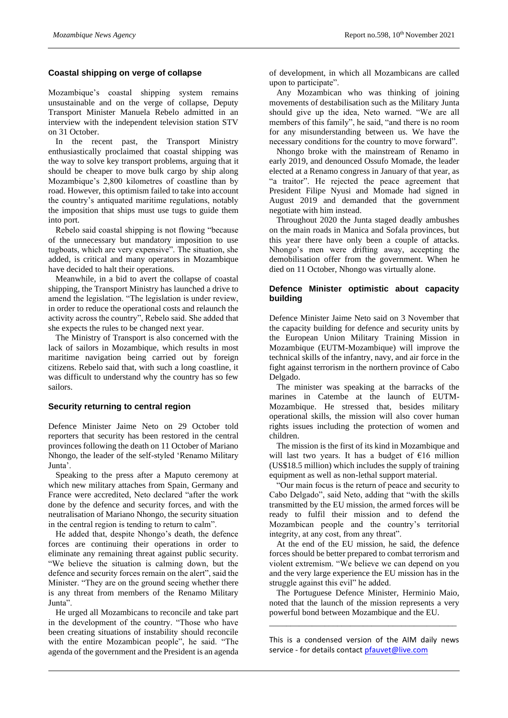#### **Coastal shipping on verge of collapse**

Mozambique's coastal shipping system remains unsustainable and on the verge of collapse, Deputy Transport Minister Manuela Rebelo admitted in an interview with the independent television station STV on 31 October.

In the recent past, the Transport Ministry enthusiastically proclaimed that coastal shipping was the way to solve key transport problems, arguing that it should be cheaper to move bulk cargo by ship along Mozambique's 2,800 kilometres of coastline than by road. However, this optimism failed to take into account the country's antiquated maritime regulations, notably the imposition that ships must use tugs to guide them into port.

Rebelo said coastal shipping is not flowing "because of the unnecessary but mandatory imposition to use tugboats, which are very expensive". The situation, she added, is critical and many operators in Mozambique have decided to halt their operations.

Meanwhile, in a bid to avert the collapse of coastal shipping, the Transport Ministry has launched a drive to amend the legislation. "The legislation is under review, in order to reduce the operational costs and relaunch the activity across the country", Rebelo said. She added that she expects the rules to be changed next year.

The Ministry of Transport is also concerned with the lack of sailors in Mozambique, which results in most maritime navigation being carried out by foreign citizens. Rebelo said that, with such a long coastline, it was difficult to understand why the country has so few sailors.

#### **Security returning to central region**

Defence Minister Jaime Neto on 29 October told reporters that security has been restored in the central provinces following the death on 11 October of Mariano Nhongo, the leader of the self-styled 'Renamo Military Junta'.

Speaking to the press after a Maputo ceremony at which new military attaches from Spain, Germany and France were accredited, Neto declared "after the work done by the defence and security forces, and with the neutralisation of Mariano Nhongo, the security situation in the central region is tending to return to calm".

He added that, despite Nhongo's death, the defence forces are continuing their operations in order to eliminate any remaining threat against public security. "We believe the situation is calming down, but the defence and security forces remain on the alert", said the Minister. "They are on the ground seeing whether there is any threat from members of the Renamo Military Junta".

He urged all Mozambicans to reconcile and take part in the development of the country. "Those who have been creating situations of instability should reconcile with the entire Mozambican people", he said. "The agenda of the government and the President is an agenda

of development, in which all Mozambicans are called upon to participate".

Any Mozambican who was thinking of joining movements of destabilisation such as the Military Junta should give up the idea, Neto warned. "We are all members of this family", he said, "and there is no room for any misunderstanding between us. We have the necessary conditions for the country to move forward".

Nhongo broke with the mainstream of Renamo in early 2019, and denounced Ossufo Momade, the leader elected at a Renamo congress in January of that year, as "a traitor". He rejected the peace agreement that President Filipe Nyusi and Momade had signed in August 2019 and demanded that the government negotiate with him instead.

Throughout 2020 the Junta staged deadly ambushes on the main roads in Manica and Sofala provinces, but this year there have only been a couple of attacks. Nhongo's men were drifting away, accepting the demobilisation offer from the government. When he died on 11 October, Nhongo was virtually alone.

#### **Defence Minister optimistic about capacity building**

Defence Minister Jaime Neto said on 3 November that the capacity building for defence and security units by the European Union Military Training Mission in Mozambique (EUTM-Mozambique) will improve the technical skills of the infantry, navy, and air force in the fight against terrorism in the northern province of Cabo Delgado.

The minister was speaking at the barracks of the marines in Catembe at the launch of EUTM-Mozambique. He stressed that, besides military operational skills, the mission will also cover human rights issues including the protection of women and children.

The mission is the first of its kind in Mozambique and will last two years. It has a budget of  $E16$  million (US\$18.5 million) which includes the supply of training equipment as well as non-lethal support material.

"Our main focus is the return of peace and security to Cabo Delgado", said Neto, adding that "with the skills transmitted by the EU mission, the armed forces will be ready to fulfil their mission and to defend the Mozambican people and the country's territorial integrity, at any cost, from any threat".

At the end of the EU mission, he said, the defence forces should be better prepared to combat terrorism and violent extremism. "We believe we can depend on you and the very large experience the EU mission has in the struggle against this evil" he added.

The Portuguese Defence Minister, Herminio Maio, noted that the launch of the mission represents a very powerful bond between Mozambique and the EU.

\_\_\_\_\_\_\_\_\_\_\_\_\_\_\_\_\_\_\_\_\_\_\_\_\_\_\_\_\_\_\_\_\_\_\_\_\_\_\_\_\_\_\_\_

This is a condensed version of the AIM daily news service - for details contac[t pfauvet@live.com](mailto:pfauvet@live.com)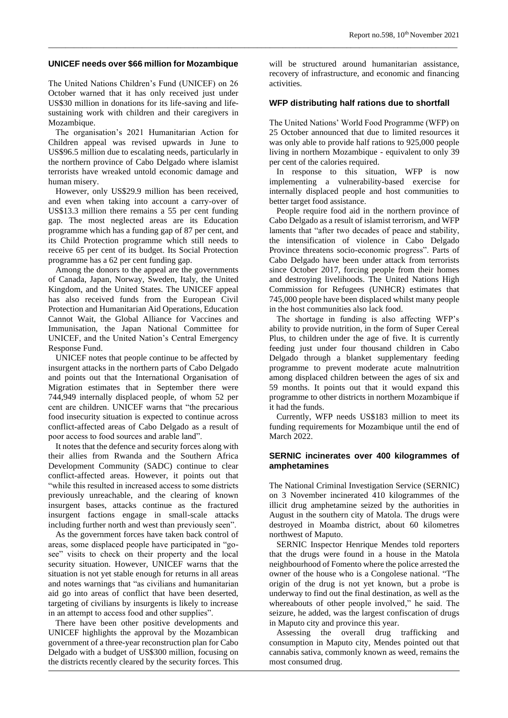#### **UNICEF needs over \$66 million for Mozambique**

*\_\_\_\_\_\_\_\_\_\_\_\_\_\_\_\_\_\_\_\_\_\_\_\_\_\_\_\_\_\_\_\_\_\_\_\_\_\_\_\_\_\_\_\_\_\_\_\_\_\_\_\_\_\_\_\_\_\_\_\_\_\_\_\_\_\_\_\_\_\_\_\_\_\_\_\_\_\_\_\_\_\_\_\_\_\_\_\_\_\_\_\_\_\_\_\_*

The United Nations Children's Fund (UNICEF) on 26 October warned that it has only received just under US\$30 million in donations for its life-saving and lifesustaining work with children and their caregivers in Mozambique.

The organisation's 2021 Humanitarian Action for Children appeal was revised upwards in June to US\$96.5 million due to escalating needs, particularly in the northern province of Cabo Delgado where islamist terrorists have wreaked untold economic damage and human misery.

However, only US\$29.9 million has been received, and even when taking into account a carry-over of US\$13.3 million there remains a 55 per cent funding gap. The most neglected areas are its Education programme which has a funding gap of 87 per cent, and its Child Protection programme which still needs to receive 65 per cent of its budget. Its Social Protection programme has a 62 per cent funding gap.

Among the donors to the appeal are the governments of Canada, Japan, Norway, Sweden, Italy, the United Kingdom, and the United States. The UNICEF appeal has also received funds from the European Civil Protection and Humanitarian Aid Operations, Education Cannot Wait, the Global Alliance for Vaccines and Immunisation, the Japan National Committee for UNICEF, and the United Nation's Central Emergency Response Fund.

UNICEF notes that people continue to be affected by insurgent attacks in the northern parts of Cabo Delgado and points out that the International Organisation of Migration estimates that in September there were 744,949 internally displaced people, of whom 52 per cent are children. UNICEF warns that "the precarious food insecurity situation is expected to continue across conflict-affected areas of Cabo Delgado as a result of poor access to food sources and arable land".

It notes that the defence and security forces along with their allies from Rwanda and the Southern Africa Development Community (SADC) continue to clear conflict-affected areas. However, it points out that "while this resulted in increased access to some districts previously unreachable, and the clearing of known insurgent bases, attacks continue as the fractured insurgent factions engage in small-scale attacks including further north and west than previously seen".

As the government forces have taken back control of areas, some displaced people have participated in "gosee" visits to check on their property and the local security situation. However, UNICEF warns that the situation is not yet stable enough for returns in all areas and notes warnings that "as civilians and humanitarian aid go into areas of conflict that have been deserted, targeting of civilians by insurgents is likely to increase in an attempt to access food and other supplies".

There have been other positive developments and UNICEF highlights the approval by the Mozambican government of a three-year reconstruction plan for Cabo Delgado with a budget of US\$300 million, focusing on the districts recently cleared by the security forces. This will be structured around humanitarian assistance, recovery of infrastructure, and economic and financing activities.

#### **WFP distributing half rations due to shortfall**

The United Nations' World Food Programme (WFP) on 25 October announced that due to limited resources it was only able to provide half rations to 925,000 people living in northern Mozambique - equivalent to only 39 per cent of the calories required.

In response to this situation, WFP is now implementing a vulnerability-based exercise for internally displaced people and host communities to better target food assistance.

People require food aid in the northern province of Cabo Delgado as a result of islamist terrorism, and WFP laments that "after two decades of peace and stability, the intensification of violence in Cabo Delgado Province threatens socio-economic progress". Parts of Cabo Delgado have been under attack from terrorists since October 2017, forcing people from their homes and destroying livelihoods. The United Nations High Commission for Refugees (UNHCR) estimates that 745,000 people have been displaced whilst many people in the host communities also lack food.

The shortage in funding is also affecting WFP's ability to provide nutrition, in the form of Super Cereal Plus, to children under the age of five. It is currently feeding just under four thousand children in Cabo Delgado through a blanket supplementary feeding programme to prevent moderate acute malnutrition among displaced children between the ages of six and 59 months. It points out that it would expand this programme to other districts in northern Mozambique if it had the funds.

Currently, WFP needs US\$183 million to meet its funding requirements for Mozambique until the end of March 2022.

#### **SERNIC incinerates over 400 kilogrammes of amphetamines**

The National Criminal Investigation Service (SERNIC) on 3 November incinerated 410 kilogrammes of the illicit drug amphetamine seized by the authorities in August in the southern city of Matola. The drugs were destroyed in Moamba district, about 60 kilometres northwest of Maputo.

SERNIC Inspector Henrique Mendes told reporters that the drugs were found in a house in the Matola neighbourhood of Fomento where the police arrested the owner of the house who is a Congolese national. "The origin of the drug is not yet known, but a probe is underway to find out the final destination, as well as the whereabouts of other people involved," he said. The seizure, he added, was the largest confiscation of drugs in Maputo city and province this year.

Assessing the overall drug trafficking and consumption in Maputo city, Mendes pointed out that cannabis sativa, commonly known as weed, remains the most consumed drug.